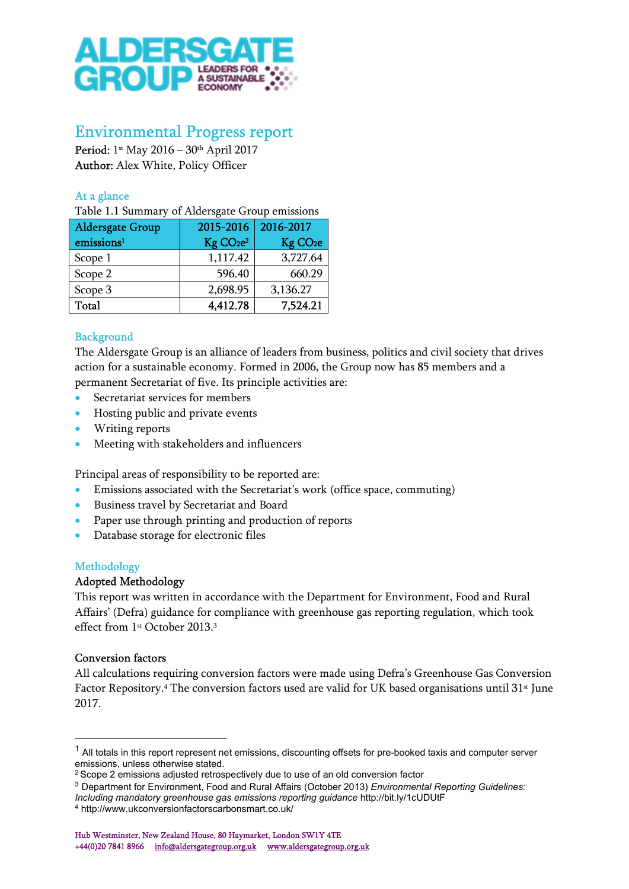

# Environmental Progress report

Period: 1st May 2016 – 30th April 2017 Author: Alex White, Policy Officer

# At a glance

Table 1.1 Summary of Aldersgate Group emissions

| <b>Aldersgate Group</b> | 2015-2016                         | 2016-2017            |
|-------------------------|-----------------------------------|----------------------|
| emissions <sup>1</sup>  | Kg CO <sub>2</sub> e <sup>2</sup> | Kg CO <sub>2</sub> e |
| Scope 1                 | 1,117.42                          | 3,727.64             |
| Scope 2                 | 596.40                            | 660.29               |
| Scope 3                 | 2,698.95                          | 3,136.27             |
| Total                   | 4,412.78                          | 7,524.21             |

# **Background**

The Aldersgate Group is an alliance of leaders from business, politics and civil society that drives action for a sustainable economy. Formed in 2006, the Group now has 85 members and a permanent Secretariat of five. Its principle activities are:

- Secretariat services for members
- Hosting public and private events
- Writing reports
- Meeting with stakeholders and influencers

Principal areas of responsibility to be reported are:

- Emissions associated with the Secretariat's work (office space, commuting)
- Business travel by Secretariat and Board
- Paper use through printing and production of reports
- Database storage for electronic files

## Methodology

## Adopted Methodology

This report was written in accordance with the Department for Environment, Food and Rural Affairs' (Defra) guidance for compliance with greenhouse gas reporting regulation, which took effect from 1<sup>st</sup> October 2013.<sup>3</sup>

## Conversion factors

All calculations requiring conversion factors were made using Defra's Greenhouse Gas Conversion Factor Repository.<sup>4</sup> The conversion factors used are valid for UK based organisations until 31<sup>st</sup> June 2017.

<sup>&</sup>lt;sup>1</sup> All totals in this report represent net emissions, discounting offsets for pre-booked taxis and computer server emissions, unless otherwise stated.

<sup>&</sup>lt;sup>2</sup> Scope 2 emissions adjusted retrospectively due to use of an old conversion factor

<sup>&</sup>lt;sup>3</sup> Department for Environment, Food and Rural Affairs (October 2013) Environmental Reporting Guidelines:

Including mandatory greenhouse gas emissions reporting guidance http://bit.ly/1cUDUtF

<sup>4</sup> http://www.ukconversionfactorscarbonsmart.co.uk/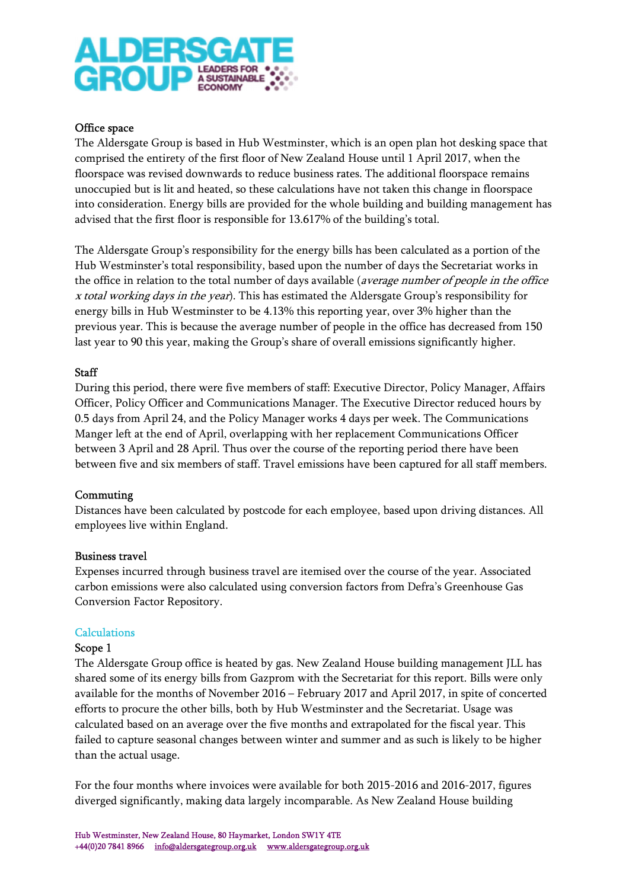

#### Office space

The Aldersgate Group is based in Hub Westminster, which is an open plan hot desking space that comprised the entirety of the first floor of New Zealand House until 1 April 2017, when the floorspace was revised downwards to reduce business rates. The additional floorspace remains unoccupied but is lit and heated, so these calculations have not taken this change in floorspace into consideration. Energy bills are provided for the whole building and building management has advised that the first floor is responsible for 13.617% of the building's total.

The Aldersgate Group's responsibility for the energy bills has been calculated as a portion of the Hub Westminster's total responsibility, based upon the number of days the Secretariat works in the office in relation to the total number of days available (average number of people in the office x total working days in the year). This has estimated the Aldersgate Group's responsibility for energy bills in Hub Westminster to be 4.13% this reporting year, over 3% higher than the previous year. This is because the average number of people in the office has decreased from 150 last year to 90 this year, making the Group's share of overall emissions significantly higher.

#### Staff

During this period, there were five members of staff: Executive Director, Policy Manager, Affairs Officer, Policy Officer and Communications Manager. The Executive Director reduced hours by 0.5 days from April 24, and the Policy Manager works 4 days per week. The Communications Manger left at the end of April, overlapping with her replacement Communications Officer between 3 April and 28 April. Thus over the course of the reporting period there have been between five and six members of staff. Travel emissions have been captured for all staff members.

#### Commuting

Distances have been calculated by postcode for each employee, based upon driving distances. All employees live within England.

#### Business travel

Expenses incurred through business travel are itemised over the course of the year. Associated carbon emissions were also calculated using conversion factors from Defra's Greenhouse Gas Conversion Factor Repository.

#### **Calculations**

#### Scope 1

The Aldersgate Group office is heated by gas. New Zealand House building management JLL has shared some of its energy bills from Gazprom with the Secretariat for this report. Bills were only available for the months of November 2016 – February 2017 and April 2017, in spite of concerted efforts to procure the other bills, both by Hub Westminster and the Secretariat. Usage was calculated based on an average over the five months and extrapolated for the fiscal year. This failed to capture seasonal changes between winter and summer and as such is likely to be higher than the actual usage.

For the four months where invoices were available for both 2015-2016 and 2016-2017, figures diverged significantly, making data largely incomparable. As New Zealand House building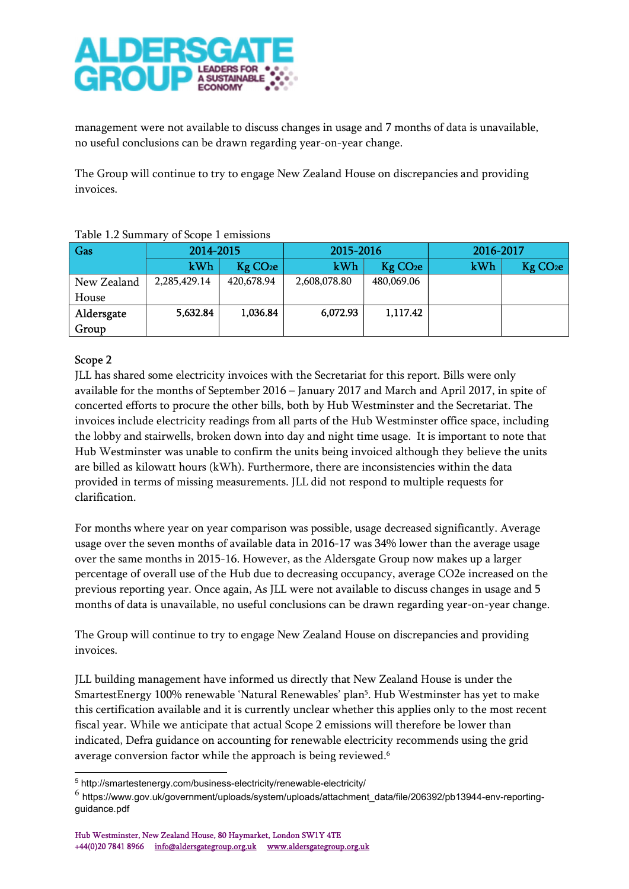

management were not available to discuss changes in usage and 7 months of data is unavailable, no useful conclusions can be drawn regarding year-on-year change.

The Group will continue to try to engage New Zealand House on discrepancies and providing invoices.

| Gas         | 2014-2015    |                      | 2015-2016    |                        | 2016-2017 |                        |
|-------------|--------------|----------------------|--------------|------------------------|-----------|------------------------|
|             | kWh          | Kg CO <sub>2</sub> e | kWh          | $Kg$ CO <sub>2</sub> e | kWh       | $Kg$ CO <sub>2</sub> e |
| New Zealand | 2,285,429.14 | 420,678.94           | 2,608,078.80 | 480,069.06             |           |                        |
| House       |              |                      |              |                        |           |                        |
| Aldersgate  | 5,632.84     | 1,036.84             | 6,072.93     | 1,117.42               |           |                        |
| Group       |              |                      |              |                        |           |                        |

## Table 1.2 Summary of Scope 1 emissions

# Scope 2

JLL has shared some electricity invoices with the Secretariat for this report. Bills were only available for the months of September 2016 – January 2017 and March and April 2017, in spite of concerted efforts to procure the other bills, both by Hub Westminster and the Secretariat. The invoices include electricity readings from all parts of the Hub Westminster office space, including the lobby and stairwells, broken down into day and night time usage. It is important to note that Hub Westminster was unable to confirm the units being invoiced although they believe the units are billed as kilowatt hours (kWh). Furthermore, there are inconsistencies within the data provided in terms of missing measurements. JLL did not respond to multiple requests for clarification.

For months where year on year comparison was possible, usage decreased significantly. Average usage over the seven months of available data in 2016-17 was 34% lower than the average usage over the same months in 2015-16. However, as the Aldersgate Group now makes up a larger percentage of overall use of the Hub due to decreasing occupancy, average CO2e increased on the previous reporting year. Once again, As JLL were not available to discuss changes in usage and 5 months of data is unavailable, no useful conclusions can be drawn regarding year-on-year change.

The Group will continue to try to engage New Zealand House on discrepancies and providing invoices.

JLL building management have informed us directly that New Zealand House is under the SmartestEnergy 100% renewable 'Natural Renewables' plan<sup>5</sup> . Hub Westminster has yet to make this certification available and it is currently unclear whether this applies only to the most recent fiscal year. While we anticipate that actual Scope 2 emissions will therefore be lower than indicated, Defra guidance on accounting for renewable electricity recommends using the grid average conversion factor while the approach is being reviewed.<sup>6</sup>

<sup>5</sup> http://smartestenergy.com/business-electricity/renewable-electricity/

<sup>6</sup> https://www.gov.uk/government/uploads/system/uploads/attachment\_data/file/206392/pb13944-env-reportingguidance.pdf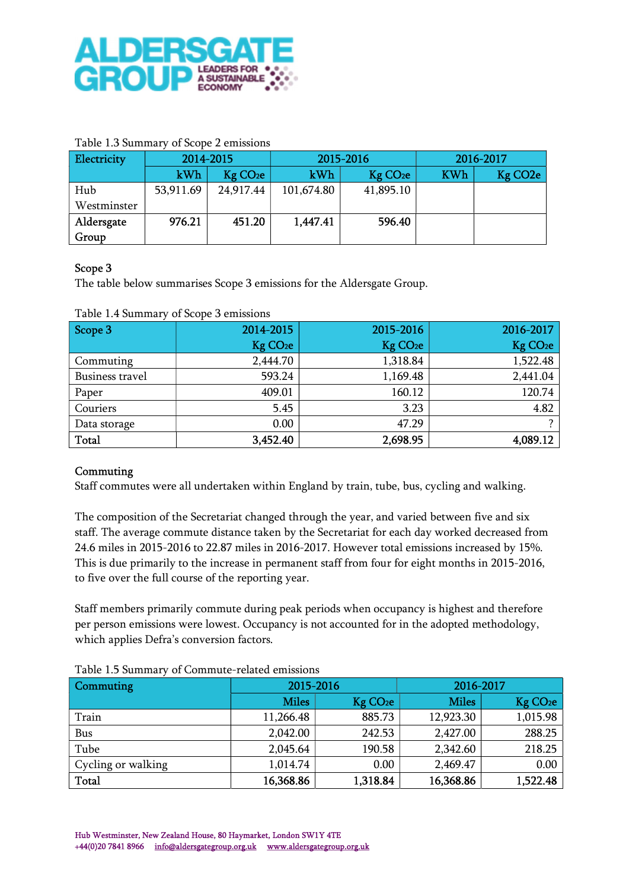

### Table 1.3 Summary of Scope 2 emissions

| Electricity | 2014-2015 |                      |                             | 2015-2016 | 2016-2017  |                      |
|-------------|-----------|----------------------|-----------------------------|-----------|------------|----------------------|
|             | kWh       | Kg CO <sub>2</sub> e | kWh<br>Kg CO <sub>2</sub> e |           | <b>KWh</b> | Kg CO <sub>2</sub> e |
| Hub         | 53,911.69 | 24,917.44            | 101,674.80                  | 41,895.10 |            |                      |
| Westminster |           |                      |                             |           |            |                      |
| Aldersgate  | 976.21    | 451.20               | 1,447.41                    | 596.40    |            |                      |
| Group       |           |                      |                             |           |            |                      |

## Scope 3

The table below summarises Scope 3 emissions for the Aldersgate Group.

| Scope 3         | 2014-2015            | 2015-2016            | 2016-2017            |
|-----------------|----------------------|----------------------|----------------------|
|                 | Kg CO <sub>2</sub> e | Kg CO <sub>2</sub> e | Kg CO <sub>2</sub> e |
| Commuting       | 2,444.70             | 1,318.84             | 1,522.48             |
| Business travel | 593.24               | 1,169.48             | 2,441.04             |
| Paper           | 409.01               | 160.12               | 120.74               |
| Couriers        | 5.45                 | 3.23                 | 4.82                 |
| Data storage    | 0.00                 | 47.29                |                      |
| <b>Total</b>    | 3,452.40             | 2,698.95             | 4,089.12             |

#### Table 1.4 Summary of Scope 3 emissions

## Commuting

Staff commutes were all undertaken within England by train, tube, bus, cycling and walking.

The composition of the Secretariat changed through the year, and varied between five and six staff. The average commute distance taken by the Secretariat for each day worked decreased from 24.6 miles in 2015-2016 to 22.87 miles in 2016-2017. However total emissions increased by 15%. This is due primarily to the increase in permanent staff from four for eight months in 2015-2016, to five over the full course of the reporting year.

Staff members primarily commute during peak periods when occupancy is highest and therefore per person emissions were lowest. Occupancy is not accounted for in the adopted methodology, which applies Defra's conversion factors.

| <b>Commuting</b>   | 2015-2016                            |          | 2016-2017    |                      |  |
|--------------------|--------------------------------------|----------|--------------|----------------------|--|
|                    | <b>Miles</b><br>Kg CO <sub>2</sub> e |          | <b>Miles</b> | Kg CO <sub>2</sub> e |  |
| Train              | 11,266.48                            | 885.73   | 12,923.30    | 1,015.98             |  |
| Bus                | 2,042.00                             | 242.53   | 2,427.00     | 288.25               |  |
| Tube               | 2,045.64                             | 190.58   | 2,342.60     | 218.25               |  |
| Cycling or walking | 1,014.74                             | 0.00     | 2,469.47     | 0.00                 |  |
| Total              | 16,368.86                            | 1,318.84 | 16,368.86    | 1,522.48             |  |

#### Table 1.5 Summary of Commute-related emissions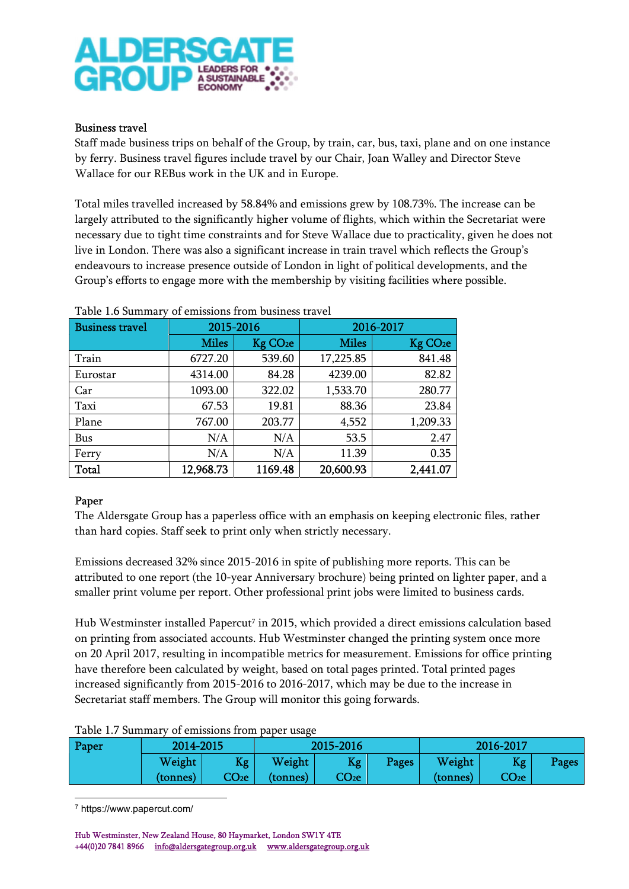

## Business travel

Staff made business trips on behalf of the Group, by train, car, bus, taxi, plane and on one instance by ferry. Business travel figures include travel by our Chair, Joan Walley and Director Steve Wallace for our REBus work in the UK and in Europe.

Total miles travelled increased by 58.84% and emissions grew by 108.73%. The increase can be largely attributed to the significantly higher volume of flights, which within the Secretariat were necessary due to tight time constraints and for Steve Wallace due to practicality, given he does not live in London. There was also a significant increase in train travel which reflects the Group's endeavours to increase presence outside of London in light of political developments, and the Group's efforts to engage more with the membership by visiting facilities where possible.

| raoic 1.0 bailimeil<br><b>Business travel</b> | 2015-2016    | of chinostono from buonicos travér |              | 2016-2017            |
|-----------------------------------------------|--------------|------------------------------------|--------------|----------------------|
|                                               | <b>Miles</b> | Kg CO <sub>2</sub> e               | <b>Miles</b> | Kg CO <sub>2</sub> e |
| Train                                         | 6727.20      | 539.60                             | 17,225.85    | 841.48               |
| Eurostar                                      | 4314.00      | 84.28                              | 4239.00      | 82.82                |
| Car                                           | 1093.00      | 322.02                             | 1,533.70     | 280.77               |
| Taxi                                          | 67.53        | 19.81                              | 88.36        | 23.84                |
| Plane                                         | 767.00       | 203.77                             | 4,552        | 1,209.33             |
| Bus                                           | N/A          | N/A                                | 53.5         | 2.47                 |
| Ferry                                         | N/A          | N/A                                | 11.39        | 0.35                 |
| Total                                         | 12,968.73    | 1169.48                            | 20,600.93    | 2,441.07             |

Table 1.6 Summary of emissions from business travel

## Paper

The Aldersgate Group has a paperless office with an emphasis on keeping electronic files, rather than hard copies. Staff seek to print only when strictly necessary.

Emissions decreased 32% since 2015-2016 in spite of publishing more reports. This can be attributed to one report (the 10-year Anniversary brochure) being printed on lighter paper, and a smaller print volume per report. Other professional print jobs were limited to business cards.

Hub Westminster installed Papercut<sup>7</sup> in 2015, which provided a direct emissions calculation based on printing from associated accounts. Hub Westminster changed the printing system once more on 20 April 2017, resulting in incompatible metrics for measurement. Emissions for office printing have therefore been calculated by weight, based on total pages printed. Total printed pages increased significantly from 2015-2016 to 2016-2017, which may be due to the increase in Secretariat staff members. The Group will monitor this going forwards.

#### Table 1.7 Summary of emissions from paper usage

| Paper | 2014-2015 |                   | 2015-2016 |                   |       | 2016-2017 |                 |       |
|-------|-----------|-------------------|-----------|-------------------|-------|-----------|-----------------|-------|
|       | Weight    | Kg                | Weight    | Kg                | Pages | Weight    | <b>Kg</b>       | Pages |
|       | (tonnes)  | CO <sub>2</sub> e | (tonnes)  | CO <sub>2</sub> e |       | (tonnes)  | CO <sub>2</sub> |       |

7 https://www.papercut.com/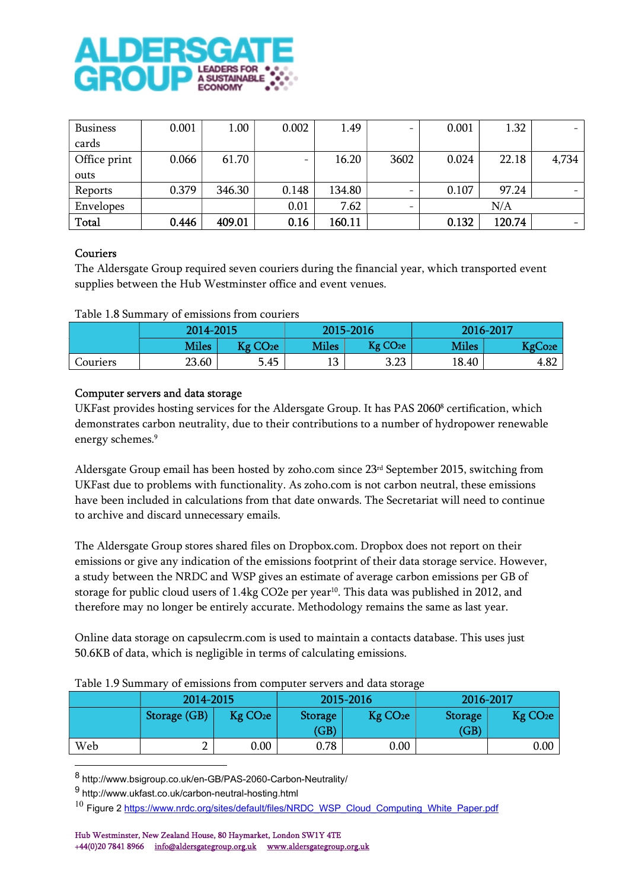

| <b>Business</b> | 0.001 | 1.00   | 0.002 | 1.49   |                          | 0.001 | 1.32   | $-$   |
|-----------------|-------|--------|-------|--------|--------------------------|-------|--------|-------|
| cards           |       |        |       |        |                          |       |        |       |
| Office print    | 0.066 | 61.70  |       | 16.20  | 3602                     | 0.024 | 22.18  | 4,734 |
| outs            |       |        |       |        |                          |       |        |       |
| Reports         | 0.379 | 346.30 | 0.148 | 134.80 | $\overline{\phantom{m}}$ | 0.107 | 97.24  |       |
| Envelopes       |       |        | 0.01  | 7.62   |                          |       | N/A    |       |
| Total           | 0.446 | 409.01 | 0.16  | 160.11 |                          | 0.132 | 120.74 |       |

## Couriers

The Aldersgate Group required seven couriers during the financial year, which transported event supplies between the Hub Westminster office and event venues.

#### Table 1.8 Summary of emissions from couriers

|          | 2014-2015    |                      |              | 2015-2016            | 2016-2017    |                     |
|----------|--------------|----------------------|--------------|----------------------|--------------|---------------------|
|          | <b>Miles</b> | Kg CO <sub>2</sub> e | <b>Miles</b> | Kg CO <sub>2</sub> e | <b>Miles</b> | KgCo <sub>2</sub> e |
| Couriers | 23.60        | 5.45                 | 13           | 3.23                 | 18.40        | 4.82                |

#### Computer servers and data storage

UKFast provides hosting services for the Aldersgate Group. It has PAS 2060<sup>8</sup> certification, which demonstrates carbon neutrality, due to their contributions to a number of hydropower renewable energy schemes.<sup>9</sup>

Aldersgate Group email has been hosted by zoho.com since 23rd September 2015, switching from UKFast due to problems with functionality. As zoho.com is not carbon neutral, these emissions have been included in calculations from that date onwards. The Secretariat will need to continue to archive and discard unnecessary emails.

The Aldersgate Group stores shared files on Dropbox.com. Dropbox does not report on their emissions or give any indication of the emissions footprint of their data storage service. However, a study between the NRDC and WSP gives an estimate of average carbon emissions per GB of storage for public cloud users of 1.4kg CO2e per year<sup>10</sup>. This data was published in 2012, and therefore may no longer be entirely accurate. Methodology remains the same as last year.

Online data storage on capsulecrm.com is used to maintain a contacts database. This uses just 50.6KB of data, which is negligible in terms of calculating emissions.

|     | 2014-2015    |                      |                        | 2015-2016            | 2016-2017              |                      |
|-----|--------------|----------------------|------------------------|----------------------|------------------------|----------------------|
|     | Storage (GB) | Kg CO <sub>2</sub> e | <b>Storage</b><br>(GB) | Kg CO <sub>2</sub> e | <b>Storage</b><br>(GB) | Kg CO <sub>2</sub> e |
| Web |              | 0.00                 | 0.78                   | 0.00                 |                        | 0.00                 |

Table 1.9 Summary of emissions from computer servers and data storage

8 http://www.bsigroup.co.uk/en-GB/PAS-2060-Carbon-Neutrality/

<sup>&</sup>lt;sup>9</sup> http://www.ukfast.co.uk/carbon-neutral-hosting.html

 $10$  Figure 2 https://www.nrdc.org/sites/default/files/NRDC\_WSP\_Cloud\_Computing\_White\_Paper.pdf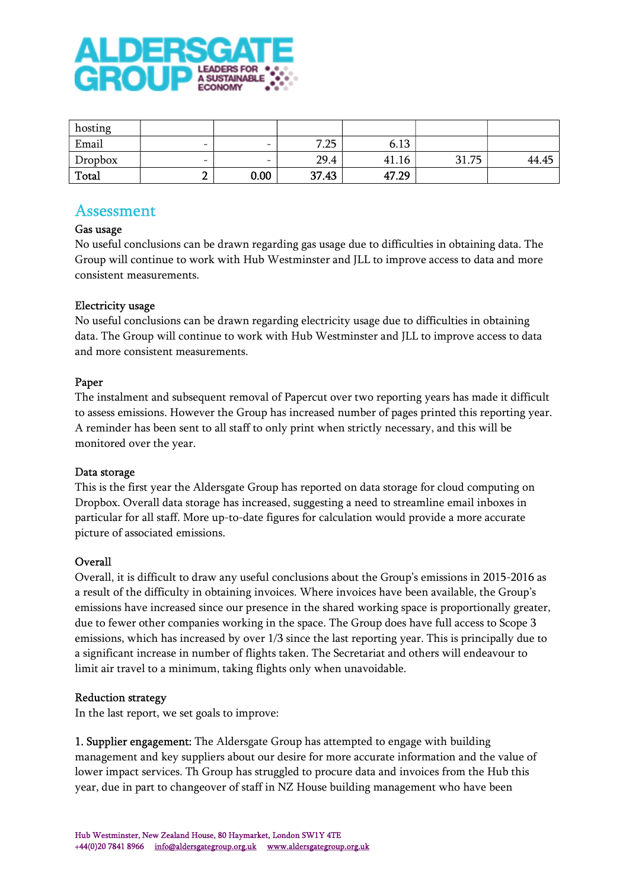

| hosting |                          |                          |       |       |       |       |
|---------|--------------------------|--------------------------|-------|-------|-------|-------|
| Email   | $\overline{\phantom{a}}$ | $\overline{\phantom{0}}$ | 7.25  | 6.13  |       |       |
| Dropbox |                          | $\overline{\phantom{0}}$ | 29.4  | 41.16 | 31.75 | 44.45 |
| Total   | o<br>-                   | 0.00                     | 37.43 | 47.29 |       |       |

# Assessment

## Gas usage

No useful conclusions can be drawn regarding gas usage due to difficulties in obtaining data. The Group will continue to work with Hub Westminster and JLL to improve access to data and more consistent measurements.

# Electricity usage

No useful conclusions can be drawn regarding electricity usage due to difficulties in obtaining data. The Group will continue to work with Hub Westminster and JLL to improve access to data and more consistent measurements.

# Paper

The instalment and subsequent removal of Papercut over two reporting years has made it difficult to assess emissions. However the Group has increased number of pages printed this reporting year. A reminder has been sent to all staff to only print when strictly necessary, and this will be monitored over the year.

## Data storage

This is the first year the Aldersgate Group has reported on data storage for cloud computing on Dropbox. Overall data storage has increased, suggesting a need to streamline email inboxes in particular for all staff. More up-to-date figures for calculation would provide a more accurate picture of associated emissions.

## Overall

Overall, it is difficult to draw any useful conclusions about the Group's emissions in 2015-2016 as a result of the difficulty in obtaining invoices. Where invoices have been available, the Group's emissions have increased since our presence in the shared working space is proportionally greater, due to fewer other companies working in the space. The Group does have full access to Scope 3 emissions, which has increased by over 1/3 since the last reporting year. This is principally due to a significant increase in number of flights taken. The Secretariat and others will endeavour to limit air travel to a minimum, taking flights only when unavoidable.

## Reduction strategy

In the last report, we set goals to improve:

1. Supplier engagement: The Aldersgate Group has attempted to engage with building management and key suppliers about our desire for more accurate information and the value of lower impact services. Th Group has struggled to procure data and invoices from the Hub this year, due in part to changeover of staff in NZ House building management who have been